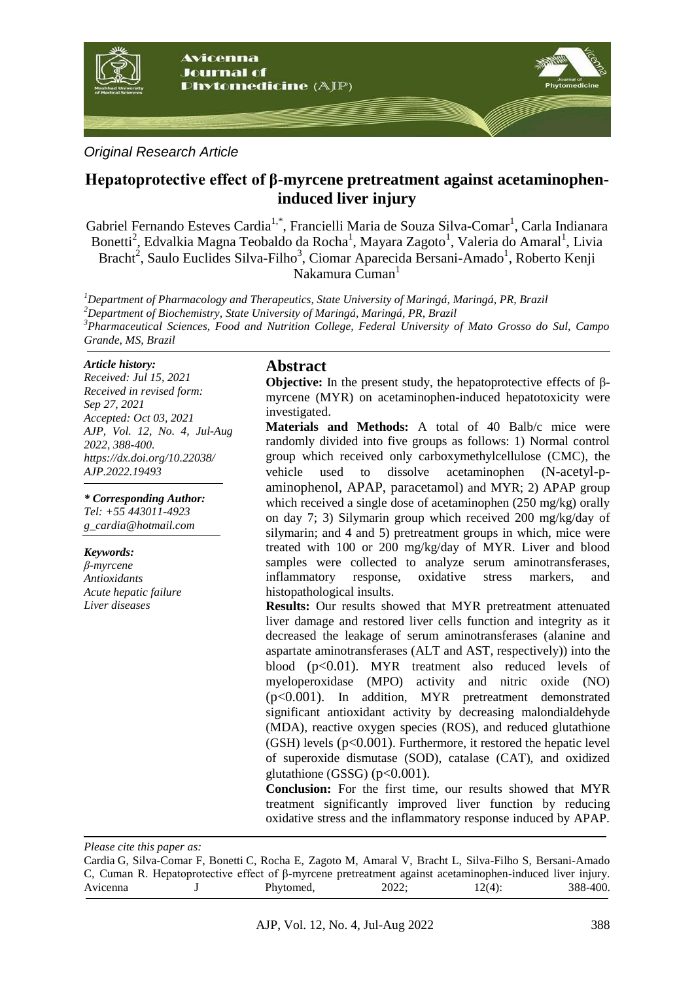

### *Original Research Article*

# **Hepatoprotective effect of β-myrcene pretreatment against acetaminopheninduced liver injury**

Gabriel Fernando Esteves Cardia<sup>1,\*</sup>, Francielli Maria de Souza Silva-Comar<sup>1</sup>, Carla Indianara Bonetti<sup>2</sup>, Edvalkia Magna Teobaldo da Rocha<sup>1</sup>, Mayara Zagoto<sup>1</sup>, Valeria do Amaral<sup>1</sup>, Livia Bracht<sup>2</sup>, Saulo Euclides Silva-Filho<sup>3</sup>, Ciomar Aparecida Bersani-Amado<sup>1</sup>, Roberto Kenji Nakamura Cuman<sup>1</sup>

*Department of Pharmacology and Therapeutics, State University of Maringá, Maringá, PR, Brazil Department of Biochemistry, State University of Maringá, Maringá, PR, Brazil Pharmaceutical Sciences, Food and Nutrition College, Federal University of Mato Grosso do Sul, Campo Grande, MS, Brazil*

#### *Article history:*

*Received: Jul 15, 2021 Received in revised form: Sep 27, 2021 Accepted: Oct 03, 2021 AJP, Vol. 12, No. 4, Jul-Aug 2022, 388-400. https://dx.doi.org/10.22038/ AJP.2022.19493*

*\* Corresponding Author: Tel: +55 443011-4923*

*g\_cardia@hotmail.com* 

#### *Keywords:*

*β-myrcene Antioxidants Acute hepatic failure Liver diseases*

#### **Abstract**

**Objective:** In the present study, the hepatoprotective effects of βmyrcene (MYR) on acetaminophen-induced hepatotoxicity were investigated.

**Materials and Methods:** A total of 40 Balb/c mice were randomly divided into five groups as follows: 1) Normal control group which received only carboxymethylcellulose (CMC), the vehicle used to dissolve acetaminophen (N-acetyl-paminophenol, APAP, paracetamol) and MYR; 2) APAP group which received a single dose of acetaminophen (250 mg/kg) orally on day 7; 3) Silymarin group which received 200 mg/kg/day of silymarin; and 4 and 5) pretreatment groups in which, mice were treated with 100 or 200 mg/kg/day of MYR. Liver and blood samples were collected to analyze serum aminotransferases, inflammatory response, oxidative stress markers, and histopathological insults.

**Results:** Our results showed that MYR pretreatment attenuated liver damage and restored liver cells function and integrity as it decreased the leakage of serum aminotransferases (alanine and aspartate aminotransferases (ALT and AST, respectively)) into the blood (p<0.01). MYR treatment also reduced levels of myeloperoxidase (MPO) activity and nitric oxide (NO) (p<0.001). In addition, MYR pretreatment demonstrated significant antioxidant activity by decreasing malondialdehyde (MDA), reactive oxygen species (ROS), and reduced glutathione  $(GSH)$  levels  $(p<0.001)$ . Furthermore, it restored the hepatic level of superoxide dismutase (SOD), catalase (CAT), and oxidized glutathione (GSSG) ( $p<0.001$ ).

**Conclusion:** For the first time, our results showed that MYR treatment significantly improved liver function by reducing oxidative stress and the inflammatory response induced by APAP.

*Please cite this paper as:* 

Cardia G, Silva-Comar F, Bonetti C, Rocha E, Zagoto M, Amaral V, Bracht L, Silva-Filho S, Bersani-Amado C, Cuman R. Hepatoprotective effect of β-myrcene pretreatment against acetaminophen-induced liver injury. Avicenna J Phytomed, 2022; 12(4): 388-400.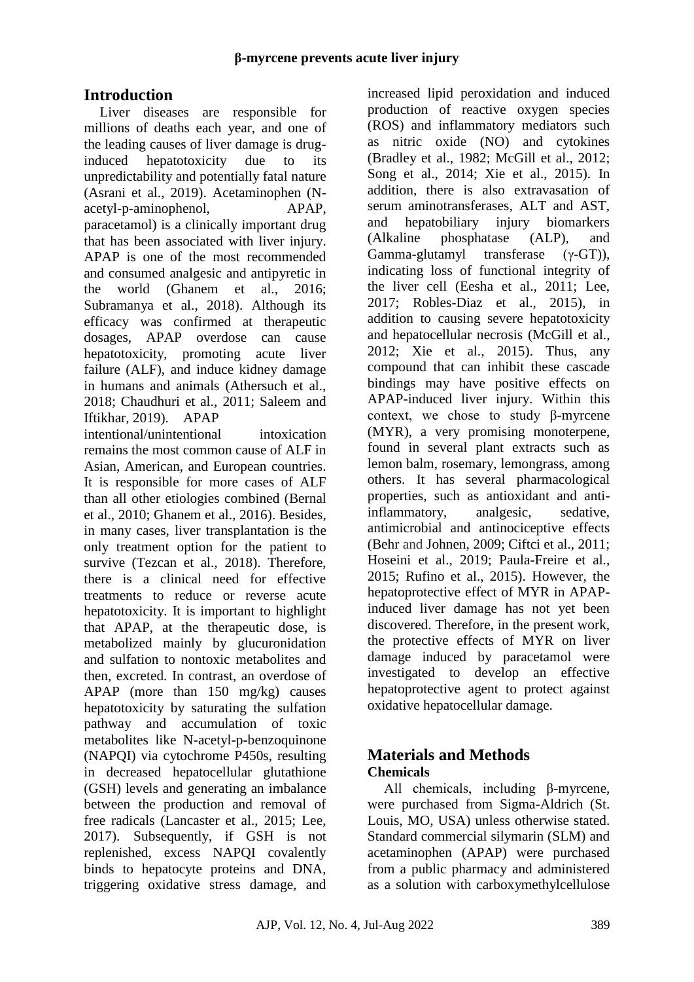# **Introduction**

Liver diseases are responsible for millions of deaths each year, and one of the leading causes of liver damage is druginduced hepatotoxicity due to its unpredictability and potentially fatal nature (Asrani et al., 2019). Acetaminophen (Nacetyl-p-aminophenol, APAP, paracetamol) is a clinically important drug that has been associated with liver injury. APAP is one of the most recommended and consumed analgesic and antipyretic in the world (Ghanem et al., 2016; Subramanya et al., 2018). Although its efficacy was confirmed at therapeutic dosages, APAP overdose can cause hepatotoxicity, promoting acute liver failure (ALF), and induce kidney damage in humans and animals (Athersuch et al., 2018; Chaudhuri et al., 2011; Saleem and Iftikhar, 2019). APAP

intentional/unintentional intoxication remains the most common cause of ALF in Asian, American, and European countries. It is responsible for more cases of ALF than all other etiologies combined (Bernal et al., 2010; Ghanem et al., 2016). Besides, in many cases, liver transplantation is the only treatment option for the patient to survive (Tezcan et al., 2018). Therefore, there is a clinical need for effective treatments to reduce or reverse acute hepatotoxicity. It is important to highlight that APAP, at the therapeutic dose, is metabolized mainly by glucuronidation and sulfation to nontoxic metabolites and then, excreted. In contrast, an overdose of APAP (more than 150 mg/kg) causes hepatotoxicity by saturating the sulfation pathway and accumulation of toxic metabolites like N-acetyl-p-benzoquinone (NAPQI) via cytochrome P450s, resulting in decreased hepatocellular glutathione (GSH) levels and generating an imbalance between the production and removal of free radicals (Lancaster et al., 2015; Lee, 2017). Subsequently, if GSH is not replenished, excess NAPQI covalently binds to hepatocyte proteins and DNA, triggering oxidative stress damage, and

increased lipid peroxidation and induced production of reactive oxygen species (ROS) and inflammatory mediators such as nitric oxide (NO) and cytokines (Bradley et al., 1982; McGill et al., 2012; Song et al., 2014; Xie et al., 2015). In addition, there is also extravasation of serum aminotransferases, ALT and AST, and hepatobiliary injury biomarkers (Alkaline phosphatase (ALP), and Gamma-glutamyl transferase (γ-GT)), indicating loss of functional integrity of the liver cell (Eesha et al., 2011; Lee, 2017; Robles-Diaz et al., 2015), in addition to causing severe hepatotoxicity and hepatocellular necrosis (McGill et al., 2012; Xie et al., 2015). Thus, any compound that can inhibit these cascade bindings may have positive effects on APAP-induced liver injury. Within this context, we chose to study β-myrcene (MYR), a very promising monoterpene, found in several plant extracts such as lemon balm, rosemary, lemongrass, among others. It has several pharmacological properties, such as antioxidant and antiinflammatory, analgesic, sedative, antimicrobial and antinociceptive effects (Behr and Johnen, 2009; Ciftci et al., 2011; Hoseini et al., 2019; Paula-Freire et al., 2015; Rufino et al., 2015). However, the hepatoprotective effect of MYR in APAPinduced liver damage has not yet been discovered. Therefore, in the present work, the protective effects of MYR on liver damage induced by paracetamol were investigated to develop an effective hepatoprotective agent to protect against oxidative hepatocellular damage.

## **Materials and Methods Chemicals**

All chemicals, including β-myrcene, were purchased from Sigma-Aldrich (St. Louis, MO, USA) unless otherwise stated. Standard commercial silymarin (SLM) and acetaminophen (APAP) were purchased from a public pharmacy and administered as a solution with carboxymethylcellulose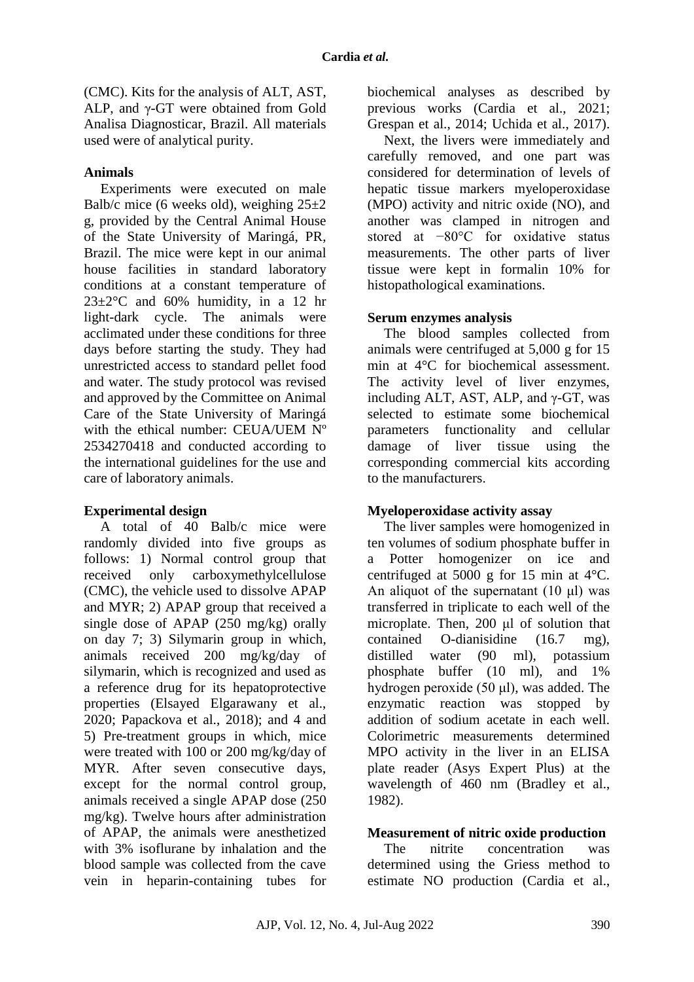(CMC). Kits for the analysis of ALT, AST, ALP, and γ-GT were obtained from Gold Analisa Diagnosticar, Brazil. All materials used were of analytical purity.

#### **Animals**

Experiments were executed on male Balb/c mice (6 weeks old), weighing  $25\pm2$ g, provided by the Central Animal House of the State University of Maringá, PR, Brazil. The mice were kept in our animal house facilities in standard laboratory conditions at a constant temperature of  $23\pm2\degree$ C and 60% humidity, in a 12 hr light-dark cycle. The animals were acclimated under these conditions for three days before starting the study. They had unrestricted access to standard pellet food and water. The study protocol was revised and approved by the Committee on Animal Care of the State University of Maringá with the ethical number: CEUA/UEM Nº 2534270418 and conducted according to the international guidelines for the use and care of laboratory animals.

#### **Experimental design**

A total of 40 Balb/c mice were randomly divided into five groups as follows: 1) Normal control group that received only carboxymethylcellulose (CMC), the vehicle used to dissolve APAP and MYR; 2) APAP group that received a single dose of APAP (250 mg/kg) orally on day 7; 3) Silymarin group in which, animals received 200 mg/kg/day of silymarin, which is recognized and used as a reference drug for its hepatoprotective properties (Elsayed Elgarawany et al., 2020; Papackova et al., 2018); and 4 and 5) Pre-treatment groups in which, mice were treated with 100 or 200 mg/kg/day of MYR. After seven consecutive days, except for the normal control group, animals received a single APAP dose (250 mg/kg). Twelve hours after administration of APAP, the animals were anesthetized with 3% isoflurane by inhalation and the blood sample was collected from the cave vein in heparin-containing tubes for biochemical analyses as described by previous works (Cardia et al., 2021; Grespan et al., 2014; Uchida et al., 2017).

Next, the livers were immediately and carefully removed, and one part was considered for determination of levels of hepatic tissue markers myeloperoxidase (MPO) activity and nitric oxide (NO), and another was clamped in nitrogen and stored at −80°C for oxidative status measurements. The other parts of liver tissue were kept in formalin 10% for histopathological examinations.

#### **Serum enzymes analysis**

The blood samples collected from animals were centrifuged at 5,000 g for 15 min at 4°C for biochemical assessment. The activity level of liver enzymes, including ALT, AST, ALP, and  $\gamma$ -GT, was selected to estimate some biochemical parameters functionality and cellular damage of liver tissue using the corresponding commercial kits according to the manufacturers.

#### **Myeloperoxidase activity assay**

The liver samples were homogenized in ten volumes of sodium phosphate buffer in a Potter homogenizer on ice and centrifuged at 5000 g for 15 min at 4°C. An aliquot of the supernatant  $(10 \mu l)$  was transferred in triplicate to each well of the microplate. Then, 200 μl of solution that contained O-dianisidine (16.7 mg), distilled water (90 ml), potassium phosphate buffer (10 ml), and 1% hydrogen peroxide (50 μl), was added. The enzymatic reaction was stopped by addition of sodium acetate in each well. Colorimetric measurements determined MPO activity in the liver in an ELISA plate reader (Asys Expert Plus) at the wavelength of 460 nm (Bradley et al., 1982).

#### **Measurement of nitric oxide production**

The nitrite concentration was determined using the Griess method to estimate NO production (Cardia et al.,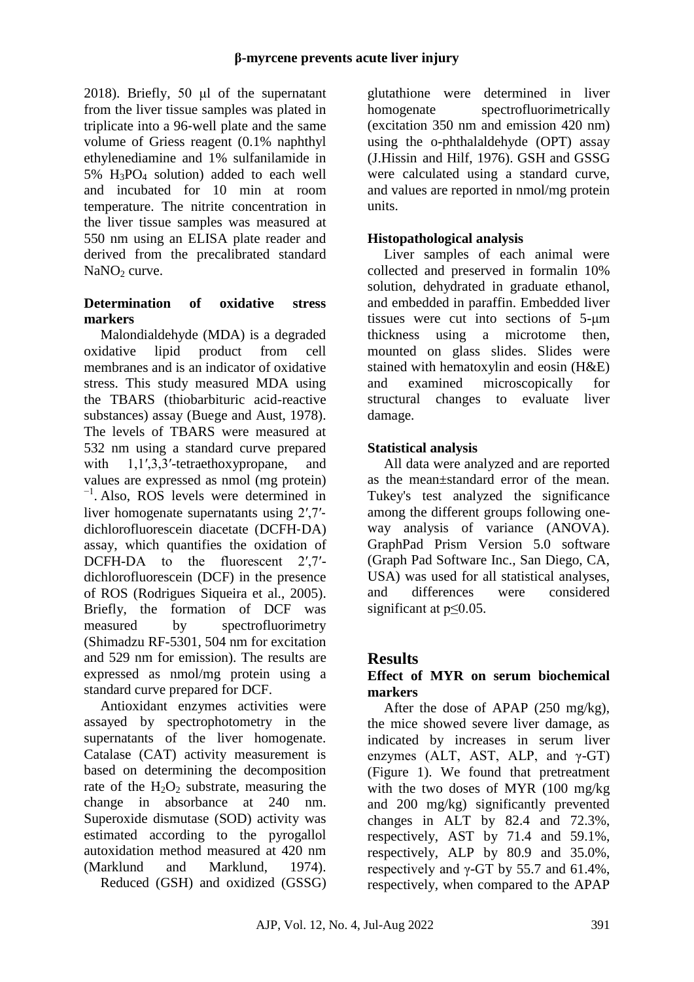2018). Briefly, 50 μl of the supernatant from the liver tissue samples was plated in triplicate into a 96‐well plate and the same volume of Griess reagent (0.1% naphthyl ethylenediamine and 1% sulfanilamide in  $5\%$  H<sub>3</sub>PO<sub>4</sub> solution) added to each well and incubated for 10 min at room temperature. The nitrite concentration in the liver tissue samples was measured at 550 nm using an ELISA plate reader and derived from the precalibrated standard  $NaNO<sub>2</sub>$  curve.

### **Determination of oxidative stress markers**

Malondialdehyde (MDA) is a degraded oxidative lipid product from cell membranes and is an indicator of oxidative stress. This study measured MDA using the TBARS (thiobarbituric acid-reactive substances) assay (Buege and Aust, 1978). The levels of TBARS were measured at 532 nm using a standard curve prepared with 1,1',3,3'-tetraethoxypropane, and values are expressed as nmol (mg protein) −1 . Also, ROS levels were determined in liver homogenate supernatants using 2′,7′‐ dichlorofluorescein diacetate (DCFH‐DA) assay, which quantifies the oxidation of DCFH-DA to the fluorescent 2',7'dichlorofluorescein (DCF) in the presence of ROS (Rodrigues Siqueira et al., 2005). Briefly, the formation of DCF was measured by spectrofluorimetry (Shimadzu RF-5301, 504 nm for excitation and 529 nm for emission). The results are expressed as nmol/mg protein using a standard curve prepared for DCF.

Antioxidant enzymes activities were assayed by spectrophotometry in the supernatants of the liver homogenate. Catalase (CAT) activity measurement is based on determining the decomposition rate of the  $H_2O_2$  substrate, measuring the change in absorbance at 240 nm. Superoxide dismutase (SOD) activity was estimated according to the pyrogallol autoxidation method measured at 420 nm (Marklund and Marklund, 1974). Reduced (GSH) and oxidized (GSSG) glutathione were determined in liver homogenate spectrofluorimetrically (excitation 350 nm and emission 420 nm) using the o-phthalaldehyde (OPT) assay (J.Hissin and Hilf, 1976). GSH and GSSG were calculated using a standard curve, and values are reported in nmol/mg protein units.

### **Histopathological analysis**

Liver samples of each animal were collected and preserved in formalin 10% solution, dehydrated in graduate ethanol, and embedded in paraffin. Embedded liver tissues were cut into sections of 5-μm thickness using a microtome then, mounted on glass slides. Slides were stained with hematoxylin and eosin (H&E) and examined microscopically for structural changes to evaluate liver damage.

### **Statistical analysis**

All data were analyzed and are reported as the mean±standard error of the mean. Tukey's test analyzed the significance among the different groups following oneway analysis of variance (ANOVA). GraphPad Prism Version 5.0 software (Graph Pad Software Inc., San Diego, CA, USA) was used for all statistical analyses, and differences were considered significant at p≤0.05.

## **Results**

### **Effect of MYR on serum biochemical markers**

After the dose of APAP (250 mg/kg), the mice showed severe liver damage, as indicated by increases in serum liver enzymes (ALT, AST, ALP, and  $\gamma$ -GT) (Figure 1). We found that pretreatment with the two doses of MYR (100 mg/kg and 200 mg/kg) significantly prevented changes in ALT by 82.4 and 72.3%, respectively, AST by 71.4 and 59.1%, respectively, ALP by 80.9 and 35.0%, respectively and  $\gamma$ -GT by 55.7 and 61.4%, respectively, when compared to the APAP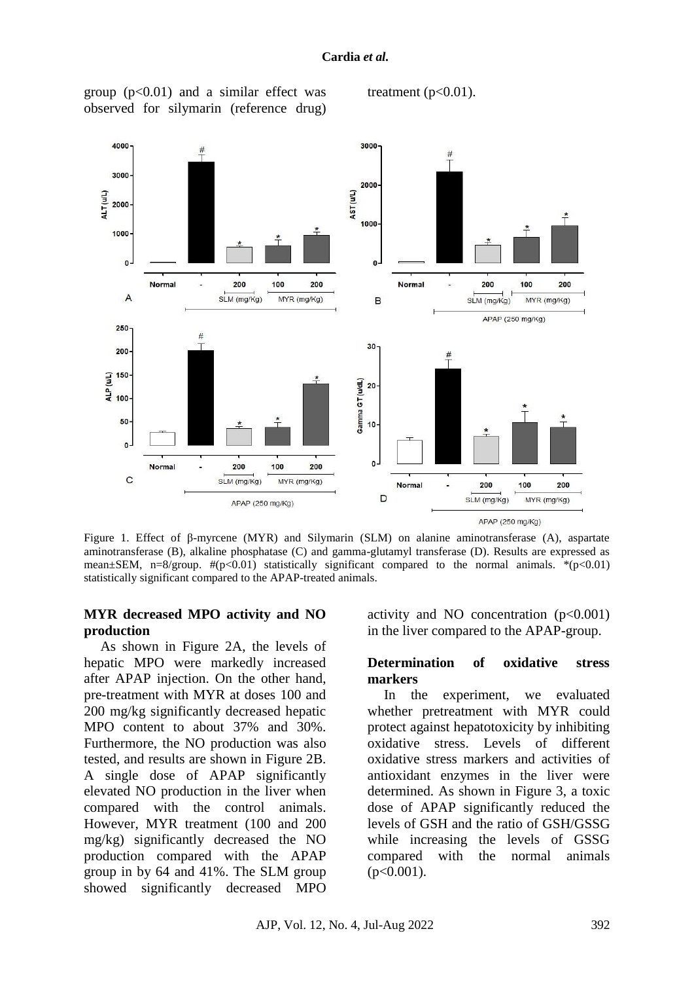#### **Cardia** *et al.*

group  $(p<0.01)$  and a similar effect was observed for silymarin (reference drug)

treatment  $(p<0.01)$ .



Figure 1. Effect of β-myrcene (MYR) and Silymarin (SLM) on alanine aminotransferase (A), aspartate aminotransferase (B), alkaline phosphatase (C) and gamma-glutamyl transferase (D). Results are expressed as mean $\pm$ SEM, n=8/group.  $\#(p<0.01)$  statistically significant compared to the normal animals. \*(p $<0.01$ ) statistically significant compared to the APAP-treated animals.

#### **MYR decreased MPO activity and NO production**

As shown in Figure 2A, the levels of hepatic MPO were markedly increased after APAP injection. On the other hand, pre-treatment with MYR at doses 100 and 200 mg/kg significantly decreased hepatic MPO content to about 37% and 30%. Furthermore, the NO production was also tested, and results are shown in Figure 2B. A single dose of APAP significantly elevated NO production in the liver when compared with the control animals. However, MYR treatment (100 and 200 mg/kg) significantly decreased the NO production compared with the APAP group in by 64 and 41%. The SLM group showed significantly decreased MPO

activity and NO concentration  $(p<0.001)$ in the liver compared to the APAP-group.

#### **Determination of oxidative stress markers**

In the experiment, we evaluated whether pretreatment with MYR could protect against hepatotoxicity by inhibiting oxidative stress. Levels of different oxidative stress markers and activities of antioxidant enzymes in the liver were determined. As shown in Figure 3, a toxic dose of APAP significantly reduced the levels of GSH and the ratio of GSH/GSSG while increasing the levels of GSSG compared with the normal animals  $(p<0.001)$ .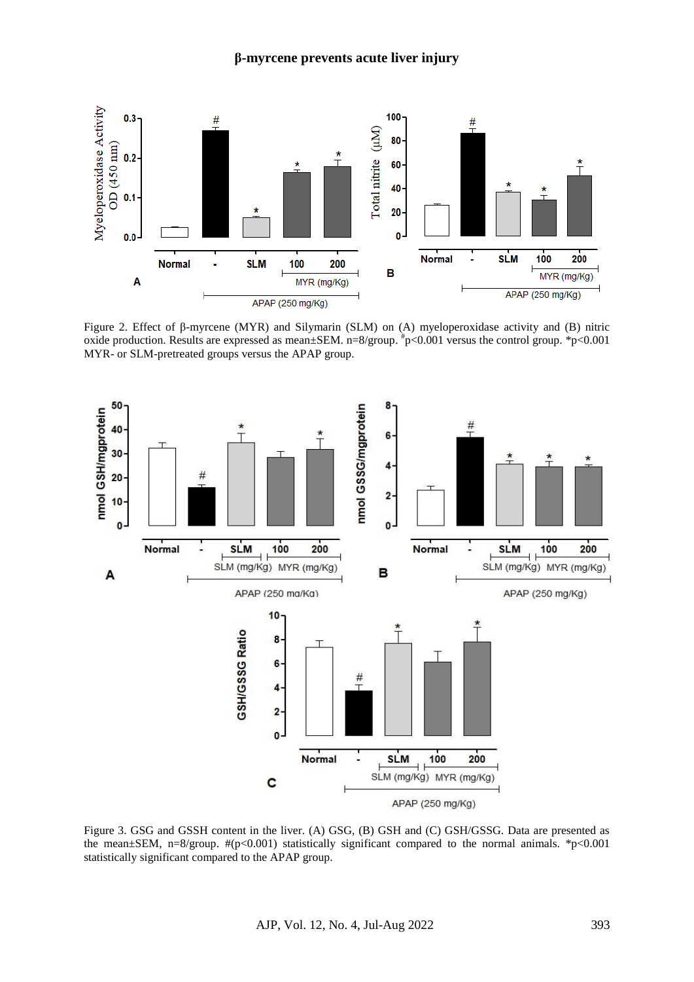

Figure 2. Effect of β-myrcene (MYR) and Silymarin (SLM) on (A) myeloperoxidase activity and (B) nitric oxide production. Results are expressed as mean±SEM. n=8/group. # p<0.001 versus the control group. \*p<0.001 MYR- or SLM-pretreated groups versus the APAP group.



Figure 3. GSG and GSSH content in the liver. (A) GSG, (B) GSH and (C) GSH/GSSG. Data are presented as the mean $\pm$ SEM, n=8/group.  $\#(p<0.001)$  statistically significant compared to the normal animals. \*p<0.001 statistically significant compared to the APAP group.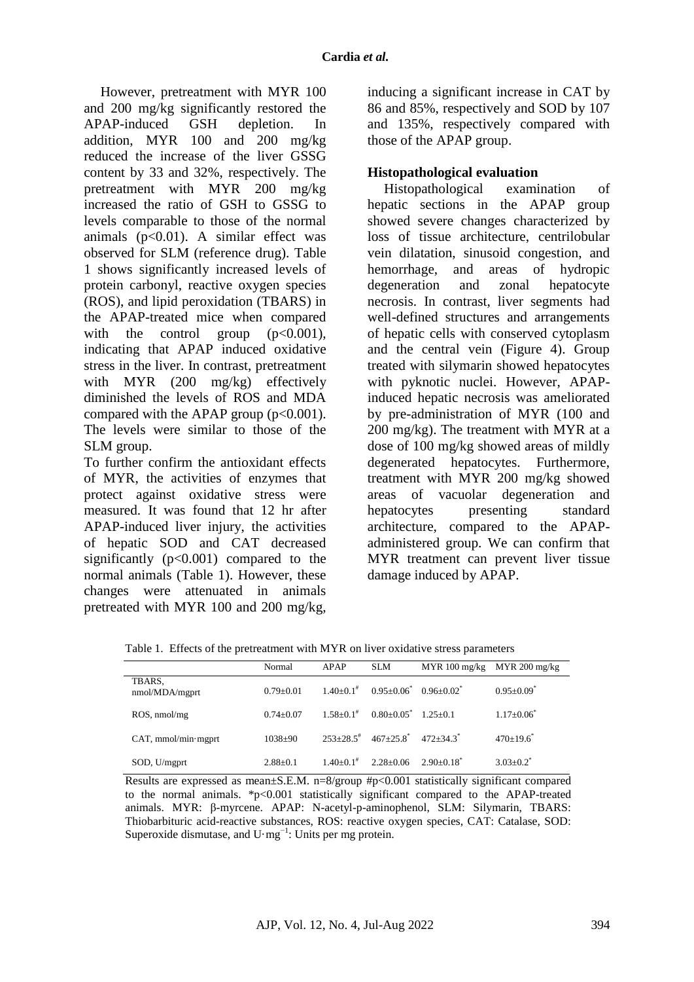However, pretreatment with MYR 100 and 200 mg/kg significantly restored the APAP-induced GSH depletion. In addition, MYR 100 and 200 mg/kg reduced the increase of the liver GSSG content by 33 and 32%, respectively. The pretreatment with MYR 200 mg/kg increased the ratio of GSH to GSSG to levels comparable to those of the normal animals  $(p<0.01)$ . A similar effect was observed for SLM (reference drug). Table 1 shows significantly increased levels of protein carbonyl, reactive oxygen species (ROS), and lipid peroxidation (TBARS) in the APAP-treated mice when compared with the control group  $(p<0.001)$ , indicating that APAP induced oxidative stress in the liver. In contrast, pretreatment with MYR (200 mg/kg) effectively diminished the levels of ROS and MDA compared with the APAP group  $(p<0.001)$ . The levels were similar to those of the SLM group.

To further confirm the antioxidant effects of MYR, the activities of enzymes that protect against oxidative stress were measured. It was found that 12 hr after APAP-induced liver injury, the activities of hepatic SOD and CAT decreased significantly  $(p<0.001)$  compared to the normal animals (Table 1). However, these changes were attenuated in animals pretreated with MYR 100 and 200 mg/kg,

inducing a significant increase in CAT by 86 and 85%, respectively and SOD by 107 and 135%, respectively compared with those of the APAP group.

### **Histopathological evaluation**

Histopathological examination of hepatic sections in the APAP group showed severe changes characterized by loss of tissue architecture, centrilobular vein dilatation, sinusoid congestion, and hemorrhage, and areas of hydropic degeneration and zonal hepatocyte necrosis. In contrast, liver segments had well-defined structures and arrangements of hepatic cells with conserved cytoplasm and the central vein (Figure 4). Group treated with silymarin showed hepatocytes with pyknotic nuclei. However, APAPinduced hepatic necrosis was ameliorated by pre-administration of MYR (100 and 200 mg/kg). The treatment with MYR at a dose of 100 mg/kg showed areas of mildly degenerated hepatocytes. Furthermore, treatment with MYR 200 mg/kg showed areas of vacuolar degeneration and hepatocytes presenting standard architecture, compared to the APAPadministered group. We can confirm that MYR treatment can prevent liver tissue damage induced by APAP.

Table 1. Effects of the pretreatment with MYR on liver oxidative stress parameters

|                          | Normal        | APAP                        | <b>SLM</b>              | MYR 100 mg/kg | MYR 200 mg/kg                |
|--------------------------|---------------|-----------------------------|-------------------------|---------------|------------------------------|
| TBARS,<br>nmol/MDA/mgprt | $0.79 + 0.01$ | $1.40 \pm 0.1$ <sup>#</sup> | $0.95 + 0.06^*$         | $0.96 + 0.02$ | $0.95 \pm 0.09$ <sup>*</sup> |
| ROS, nmol/mg             | $0.74 + 0.07$ | $1.58 + 0.1^*$              | $0.80+0.05^*$ 1.25+0.1  |               | $1.17 \pm 0.06^*$            |
| $CAT$ , mmol/min·mgprt   | $1038+90$     | $253+28.5^{\#}$             | $467+25.8$ <sup>*</sup> | $472 + 34.3$  | $470+19.6^*$                 |
| SOD, U/mgprt             | $2.88+0.1$    | $1.40+0.1$ <sup>#</sup>     | $2.28 + 0.06$           | $2.90+0.18^*$ | $3.03 + 0.2^*$               |

Results are expressed as mean±S.E.M. n=8/group #p<0.001 statistically significant compared to the normal animals. \*p<0.001 statistically significant compared to the APAP-treated animals. MYR: β-myrcene. APAP: N-acetyl-p-aminophenol, SLM: Silymarin, TBARS: Thiobarbituric acid-reactive substances, ROS: reactive oxygen species, CAT: Catalase, SOD: Superoxide dismutase, and  $U·mg^{-1}$ : Units per mg protein.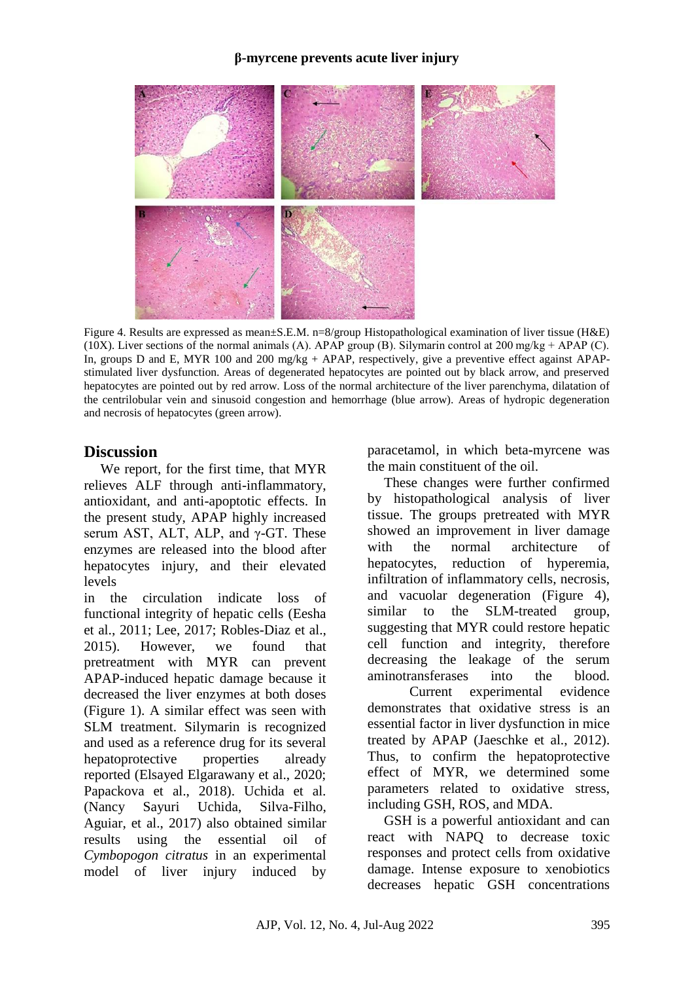#### **β-myrcene prevents acute liver injury**



Figure 4. Results are expressed as mean±S.E.M. n=8/group Histopathological examination of liver tissue (H&E) (10X). Liver sections of the normal animals (A). APAP group (B). Silymarin control at 200 mg/kg + APAP (C). In, groups D and E, MYR 100 and 200 mg/kg + APAP, respectively, give a preventive effect against APAPstimulated liver dysfunction. Areas of degenerated hepatocytes are pointed out by black arrow, and preserved hepatocytes are pointed out by red arrow. Loss of the normal architecture of the liver parenchyma, dilatation of the centrilobular vein and sinusoid congestion and hemorrhage (blue arrow). Areas of hydropic degeneration and necrosis of hepatocytes (green arrow).

### **Discussion**

We report, for the first time, that MYR relieves ALF through anti-inflammatory, antioxidant, and anti-apoptotic effects. In the present study, APAP highly increased serum AST, ALT, ALP, and  $\gamma$ -GT. These enzymes are released into the blood after hepatocytes injury, and their elevated levels

in the circulation indicate loss of functional integrity of hepatic cells (Eesha et al., 2011; Lee, 2017; Robles-Diaz et al., 2015). However, we found that pretreatment with MYR can prevent APAP-induced hepatic damage because it decreased the liver enzymes at both doses (Figure 1). A similar effect was seen with SLM treatment. Silymarin is recognized and used as a reference drug for its several hepatoprotective properties already reported (Elsayed Elgarawany et al., 2020; Papackova et al., 2018). Uchida et al. (Nancy Sayuri Uchida, Silva-Filho, Aguiar, et al., 2017) also obtained similar results using the essential oil of *Cymbopogon citratus* in an experimental model of liver injury induced by paracetamol, in which beta-myrcene was the main constituent of the oil.

These changes were further confirmed by histopathological analysis of liver tissue. The groups pretreated with MYR showed an improvement in liver damage with the normal architecture of hepatocytes, reduction of hyperemia, infiltration of inflammatory cells, necrosis, and vacuolar degeneration (Figure 4), similar to the SLM-treated group, suggesting that MYR could restore hepatic cell function and integrity, therefore decreasing the leakage of the serum aminotransferases into the blood.

Current experimental evidence demonstrates that oxidative stress is an essential factor in liver dysfunction in mice treated by APAP (Jaeschke et al., 2012). Thus, to confirm the hepatoprotective effect of MYR, we determined some parameters related to oxidative stress, including GSH, ROS, and MDA.

GSH is a powerful antioxidant and can react with NAPQ to decrease toxic responses and protect cells from oxidative damage. Intense exposure to xenobiotics decreases hepatic GSH concentrations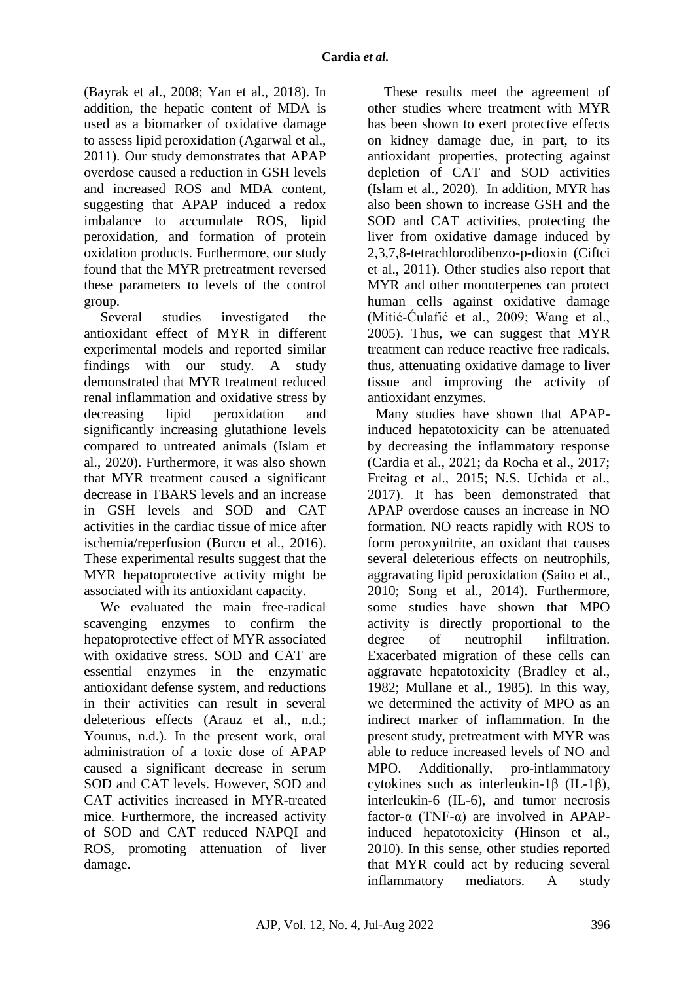(Bayrak et al., 2008; Yan et al., 2018). In addition, the hepatic content of MDA is used as a biomarker of oxidative damage to assess lipid peroxidation (Agarwal et al., 2011). Our study demonstrates that APAP overdose caused a reduction in GSH levels and increased ROS and MDA content, suggesting that APAP induced a redox imbalance to accumulate ROS, lipid peroxidation, and formation of protein oxidation products. Furthermore, our study found that the MYR pretreatment reversed these parameters to levels of the control group.

Several studies investigated the antioxidant effect of MYR in different experimental models and reported similar findings with our study. A study demonstrated that MYR treatment reduced renal inflammation and oxidative stress by decreasing lipid peroxidation and significantly increasing glutathione levels compared to untreated animals (Islam et al., 2020). Furthermore, it was also shown that MYR treatment caused a significant decrease in TBARS levels and an increase in GSH levels and SOD and CAT activities in the cardiac tissue of mice after ischemia/reperfusion (Burcu et al., 2016). These experimental results suggest that the MYR hepatoprotective activity might be associated with its antioxidant capacity.

We evaluated the main free-radical scavenging enzymes to confirm the hepatoprotective effect of MYR associated with oxidative stress. SOD and CAT are essential enzymes in the enzymatic antioxidant defense system, and reductions in their activities can result in several deleterious effects (Arauz et al., n.d.; Younus, n.d.). In the present work, oral administration of a toxic dose of APAP caused a significant decrease in serum SOD and CAT levels. However, SOD and CAT activities increased in MYR-treated mice. Furthermore, the increased activity of SOD and CAT reduced NAPQI and ROS, promoting attenuation of liver damage.

These results meet the agreement of other studies where treatment with MYR has been shown to exert protective effects on kidney damage due, in part, to its antioxidant properties, protecting against depletion of CAT and SOD activities (Islam et al., 2020). In addition, MYR has also been shown to increase GSH and the SOD and CAT activities, protecting the liver from oxidative damage induced by 2,3,7,8-tetrachlorodibenzo-p-dioxin (Ciftci et al., 2011). Other studies also report that MYR and other monoterpenes can protect human cells against oxidative damage (Mitić-Ćulafić et al., 2009; Wang et al., 2005). Thus, we can suggest that MYR treatment can reduce reactive free radicals, thus, attenuating oxidative damage to liver tissue and improving the activity of antioxidant enzymes.

Many studies have shown that APAPinduced hepatotoxicity can be attenuated by decreasing the inflammatory response (Cardia et al., 2021; da Rocha et al., 2017; Freitag et al., 2015; N.S. Uchida et al., 2017). It has been demonstrated that APAP overdose causes an increase in NO formation. NO reacts rapidly with ROS to form peroxynitrite, an oxidant that causes several deleterious effects on neutrophils, aggravating lipid peroxidation (Saito et al., 2010; Song et al., 2014). Furthermore, some studies have shown that MPO activity is directly proportional to the degree of neutrophil infiltration. Exacerbated migration of these cells can aggravate hepatotoxicity (Bradley et al., 1982; Mullane et al., 1985). In this way, we determined the activity of MPO as an indirect marker of inflammation. In the present study, pretreatment with MYR was able to reduce increased levels of NO and MPO. Additionally, pro-inflammatory cytokines such as interleukin-1β (IL-1β), interleukin-6 (IL-6), and tumor necrosis factor- $\alpha$  (TNF- $\alpha$ ) are involved in APAPinduced hepatotoxicity (Hinson et al., 2010). In this sense, other studies reported that MYR could act by reducing several inflammatory mediators. A study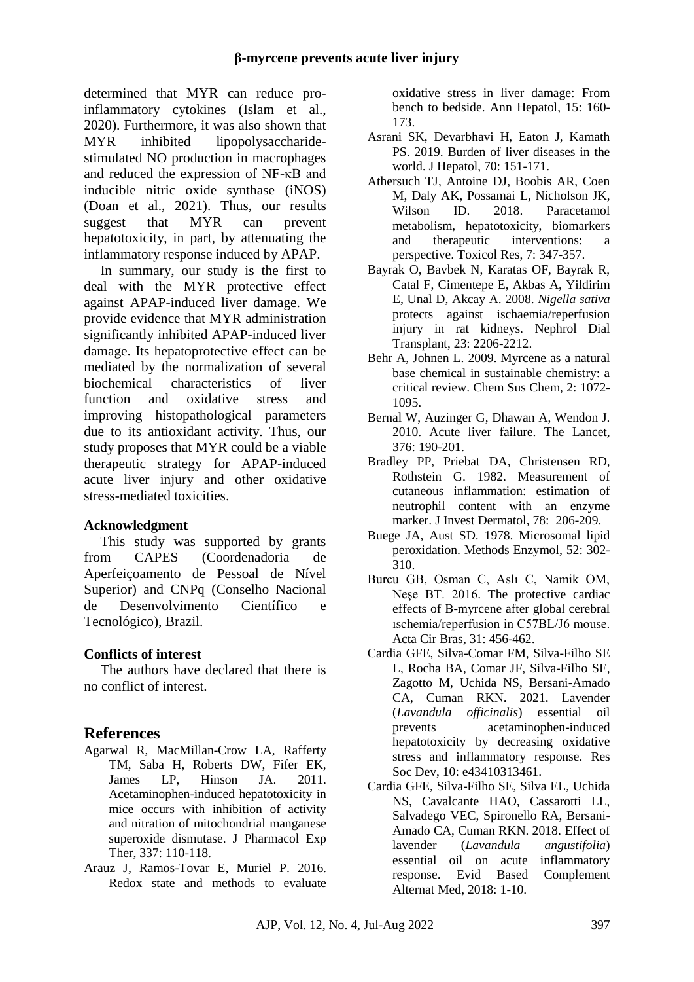determined that MYR can reduce proinflammatory cytokines (Islam et al., 2020). Furthermore, it was also shown that MYR inhibited lipopolysaccharidestimulated NO production in macrophages and reduced the expression of NF-κB and inducible nitric oxide synthase (iNOS) (Doan et al., 2021). Thus, our results suggest that MYR can prevent hepatotoxicity, in part, by attenuating the inflammatory response induced by APAP.

In summary, our study is the first to deal with the MYR protective effect against APAP-induced liver damage. We provide evidence that MYR administration significantly inhibited APAP-induced liver damage. Its hepatoprotective effect can be mediated by the normalization of several biochemical characteristics of liver function and oxidative stress and improving histopathological parameters due to its antioxidant activity. Thus, our study proposes that MYR could be a viable therapeutic strategy for APAP-induced acute liver injury and other oxidative stress-mediated toxicities.

### **Acknowledgment**

This study was supported by grants from CAPES (Coordenadoria de Aperfeiçoamento de Pessoal de Nível Superior) and CNPq (Conselho Nacional de Desenvolvimento Científico e Tecnológico), Brazil.

### **Conflicts of interest**

The authors have declared that there is no conflict of interest.

## **References**

- Agarwal R, MacMillan-Crow LA, Rafferty TM, Saba H, Roberts DW, Fifer EK, James LP, Hinson JA. 2011. Acetaminophen-induced hepatotoxicity in mice occurs with inhibition of activity and nitration of mitochondrial manganese superoxide dismutase. J Pharmacol Exp Ther, 337: 110-118.
- Arauz J, Ramos-Tovar E, Muriel P. 2016. Redox state and methods to evaluate

oxidative stress in liver damage: From bench to bedside. Ann Hepatol, 15: 160- 173.

- Asrani SK, Devarbhavi H, Eaton J, Kamath PS. 2019. Burden of liver diseases in the world. J Hepatol, 70: 151-171.
- Athersuch TJ, Antoine DJ, Boobis AR, Coen M, Daly AK, Possamai L, Nicholson JK, Wilson ID. 2018. Paracetamol metabolism, hepatotoxicity, biomarkers and therapeutic interventions: a perspective. Toxicol Res, 7: 347-357.
- Bayrak O, Bavbek N, Karatas OF, Bayrak R, Catal F, Cimentepe E, Akbas A, Yildirim E, Unal D, Akcay A. 2008. *Nigella sativa* protects against ischaemia/reperfusion injury in rat kidneys. Nephrol Dial Transplant, 23: 2206-2212.
- Behr A, Johnen L. 2009. Myrcene as a natural base chemical in sustainable chemistry: a critical review. Chem Sus Chem, 2: 1072- 1095.
- Bernal W, Auzinger G, Dhawan A, Wendon J. 2010. Acute liver failure. The Lancet, 376: 190-201.
- Bradley PP, Priebat DA, Christensen RD, Rothstein G. 1982. Measurement of cutaneous inflammation: estimation of neutrophil content with an enzyme marker. J Invest Dermatol, 78: 206-209.
- Buege JA, Aust SD. 1978. Microsomal lipid peroxidation. Methods Enzymol, 52: 302- 310.
- Burcu GB, Osman C, Aslı C, Namik OM, Neşe BT. 2016. The protective cardiac effects of Β-myrcene after global cerebral ıschemia/reperfusion in C57BL/J6 mouse. Acta Cir Bras, 31: 456-462.
- Cardia GFE, Silva-Comar FM, Silva-Filho SE L, Rocha BA, Comar JF, Silva-Filho SE, Zagotto M, Uchida NS, Bersani-Amado CA, Cuman RKN. 2021. Lavender (*Lavandula officinalis*) essential oil prevents acetaminophen-induced hepatotoxicity by decreasing oxidative stress and inflammatory response. Res Soc Dev, 10: e43410313461.
- Cardia GFE, Silva-Filho SE, Silva EL, Uchida NS, Cavalcante HAO, Cassarotti LL, Salvadego VEC, Spironello RA, Bersani-Amado CA, Cuman RKN. 2018. Effect of lavender (*Lavandula angustifolia*) essential oil on acute inflammatory response. Evid Based Complement Alternat Med, 2018: 1-10.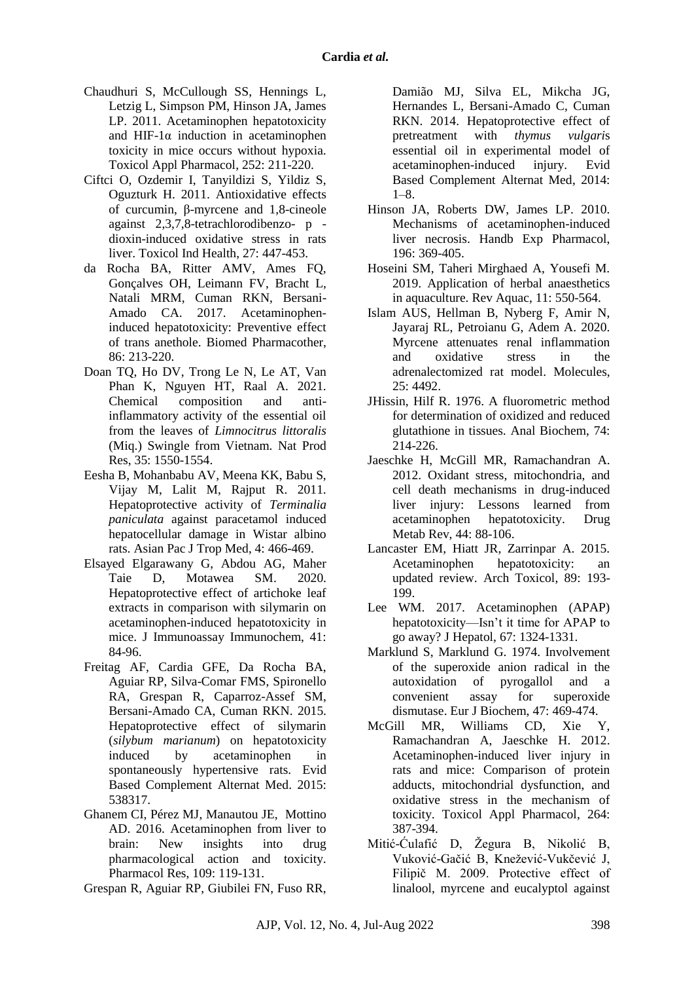- Chaudhuri S, McCullough SS, Hennings L, Letzig L, Simpson PM, Hinson JA, James LP. 2011. Acetaminophen hepatotoxicity and HIF-1 $\alpha$  induction in acetaminophen toxicity in mice occurs without hypoxia. Toxicol Appl Pharmacol, 252: 211-220.
- Ciftci O, Ozdemir I, Tanyildizi S, Yildiz S, Oguzturk H. 2011. Antioxidative effects of curcumin, β-myrcene and 1,8-cineole against 2,3,7,8-tetrachlorodibenzo- p dioxin-induced oxidative stress in rats liver. Toxicol Ind Health, 27: 447-453.
- da Rocha BA, Ritter AMV, Ames FQ, Gonçalves OH, Leimann FV, Bracht L, Natali MRM, Cuman RKN, Bersani-Amado CA. 2017. Acetaminopheninduced hepatotoxicity: Preventive effect of trans anethole. Biomed Pharmacother, 86: 213-220.
- Doan TQ, Ho DV, Trong Le N, Le AT, Van Phan K, Nguyen HT, Raal A. 2021. Chemical composition and antiinflammatory activity of the essential oil from the leaves of *Limnocitrus littoralis* (Miq.) Swingle from Vietnam. Nat Prod Res, 35: 1550-1554.
- Eesha B, Mohanbabu AV, Meena KK, Babu S, Vijay M, Lalit M, Rajput R. 2011. Hepatoprotective activity of *Terminalia paniculata* against paracetamol induced hepatocellular damage in Wistar albino rats. Asian Pac J Trop Med, 4: 466-469.
- Elsayed Elgarawany G, Abdou AG, Maher Taie D, Motawea SM. 2020. Hepatoprotective effect of artichoke leaf extracts in comparison with silymarin on acetaminophen-induced hepatotoxicity in mice. J Immunoassay Immunochem, 41: 84-96.
- Freitag AF, Cardia GFE, Da Rocha BA, Aguiar RP, Silva-Comar FMS, Spironello RA, Grespan R, Caparroz-Assef SM, Bersani-Amado CA, Cuman RKN. 2015. Hepatoprotective effect of silymarin (*silybum marianum*) on hepatotoxicity induced by acetaminophen in spontaneously hypertensive rats. Evid Based Complement Alternat Med. 2015: 538317.
- Ghanem CI, Pérez MJ, Manautou JE, Mottino AD. 2016. Acetaminophen from liver to brain: New insights into drug pharmacological action and toxicity. Pharmacol Res, 109: 119-131.
- Grespan R, Aguiar RP, Giubilei FN, Fuso RR,

Damião MJ, Silva EL, Mikcha JG, Hernandes L, Bersani-Amado C, Cuman RKN. 2014. Hepatoprotective effect of pretreatment with *thymus vulgari*s essential oil in experimental model of acetaminophen-induced injury. Evid Based Complement Alternat Med, 2014:  $1 - 8$ .

- Hinson JA, Roberts DW, James LP. 2010. Mechanisms of acetaminophen-induced liver necrosis. Handb Exp Pharmacol, 196: 369-405.
- Hoseini SM, Taheri Mirghaed A, Yousefi M. 2019. Application of herbal anaesthetics in aquaculture. Rev Aquac, 11: 550-564.
- Islam AUS, Hellman B, Nyberg F, Amir N, Jayaraj RL, Petroianu G, Adem A. 2020. Myrcene attenuates renal inflammation and oxidative stress in the adrenalectomized rat model. Molecules,  $25 \cdot 4492$ .
- JHissin, Hilf R. 1976. A fluorometric method for determination of oxidized and reduced glutathione in tissues. Anal Biochem, 74: 214-226.
- Jaeschke H, McGill MR, Ramachandran A. 2012. Oxidant stress, mitochondria, and cell death mechanisms in drug-induced liver injury: Lessons learned from acetaminophen hepatotoxicity. Drug Metab Rev, 44: 88-106.
- Lancaster EM, Hiatt JR, Zarrinpar A. 2015. Acetaminophen hepatotoxicity: an updated review. Arch Toxicol, 89: 193- 199.
- Lee WM. 2017. Acetaminophen (APAP) hepatotoxicity—Isn't it time for APAP to go away? J Hepatol, 67: 1324-1331.
- Marklund S, Marklund G. 1974. Involvement of the superoxide anion radical in the autoxidation of pyrogallol and a convenient assay for superoxide dismutase. Eur J Biochem, 47: 469-474.
- McGill MR, Williams CD, Xie Y, Ramachandran A, Jaeschke H. 2012. Acetaminophen-induced liver injury in rats and mice: Comparison of protein adducts, mitochondrial dysfunction, and oxidative stress in the mechanism of toxicity. Toxicol Appl Pharmacol, 264: 387-394.
- Mitić-Ćulafić D, Žegura B, Nikolić B, Vuković-Gačić B, Knežević-Vukčević J, Filipič M. 2009. Protective effect of linalool, myrcene and eucalyptol against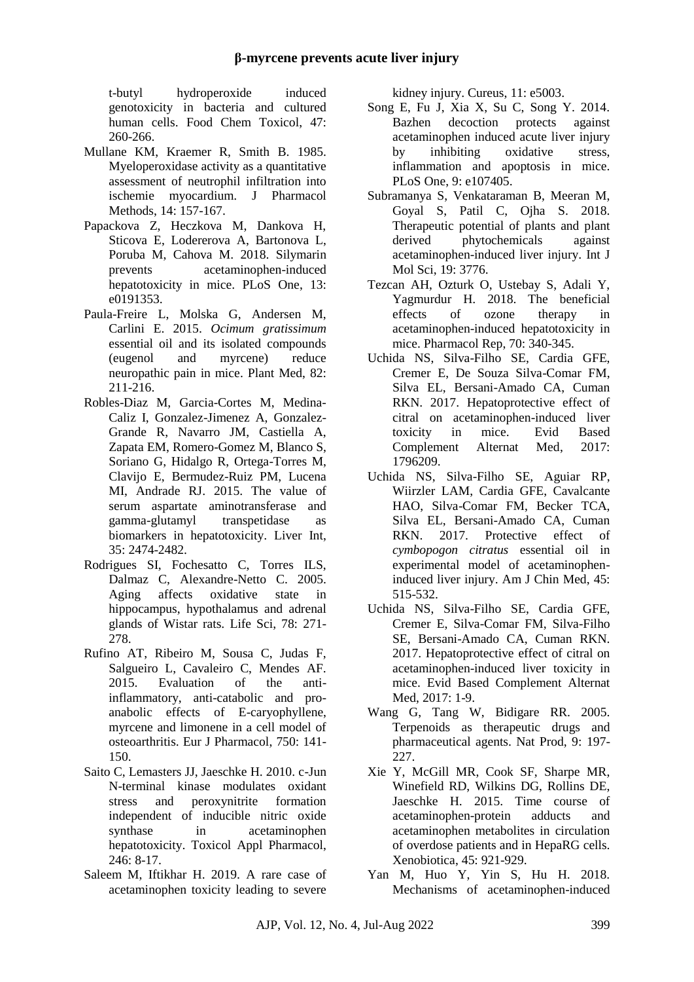t-butyl hydroperoxide induced genotoxicity in bacteria and cultured human cells. Food Chem Toxicol, 47: 260-266.

- Mullane KM, Kraemer R, Smith B. 1985. Myeloperoxidase activity as a quantitative assessment of neutrophil infiltration into ischemie myocardium. J Pharmacol Methods, 14: 157-167.
- Papackova Z, Heczkova M, Dankova H, Sticova E, Lodererova A, Bartonova L, Poruba M, Cahova M. 2018. Silymarin prevents acetaminophen-induced hepatotoxicity in mice. PLoS One, 13: e0191353.
- Paula-Freire L, Molska G, Andersen M, Carlini E. 2015. *Ocimum gratissimum* essential oil and its isolated compounds (eugenol and myrcene) reduce neuropathic pain in mice. Plant Med, 82: 211-216.
- Robles-Diaz M, Garcia-Cortes M, Medina-Caliz I, Gonzalez-Jimenez A, Gonzalez-Grande R, Navarro JM, Castiella A, Zapata EM, Romero-Gomez M, Blanco S, Soriano G, Hidalgo R, Ortega-Torres M, Clavijo E, Bermudez-Ruiz PM, Lucena MI, Andrade RJ. 2015. The value of serum aspartate aminotransferase and gamma-glutamyl transpetidase as biomarkers in hepatotoxicity. Liver Int, 35: 2474-2482.
- Rodrigues SI, Fochesatto C, Torres ILS, Dalmaz C, Alexandre-Netto C. 2005. Aging affects oxidative state in hippocampus, hypothalamus and adrenal glands of Wistar rats. Life Sci, 78: 271- 278.
- Rufino AT, Ribeiro M, Sousa C, Judas F, Salgueiro L, Cavaleiro C, Mendes AF. 2015. Evaluation of the antiinflammatory, anti-catabolic and proanabolic effects of E-caryophyllene, myrcene and limonene in a cell model of osteoarthritis. Eur J Pharmacol, 750: 141- 150.
- Saito C, Lemasters JJ, Jaeschke H. 2010. c-Jun N-terminal kinase modulates oxidant stress and peroxynitrite formation independent of inducible nitric oxide synthase in acetaminophen hepatotoxicity. Toxicol Appl Pharmacol, 246: 8-17.
- Saleem M, Iftikhar H. 2019. A rare case of acetaminophen toxicity leading to severe

kidney injury. Cureus, 11: e5003.

- Song E, Fu J, Xia X, Su C, Song Y. 2014. Bazhen decoction protects against acetaminophen induced acute liver injury by inhibiting oxidative stress, inflammation and apoptosis in mice. PLoS One, 9: e107405.
- Subramanya S, Venkataraman B, Meeran M, Goyal S, Patil C, Ojha S. 2018. Therapeutic potential of plants and plant derived phytochemicals against acetaminophen-induced liver injury. Int J Mol Sci, 19: 3776.
- Tezcan AH, Ozturk O, Ustebay S, Adali Y, Yagmurdur H. 2018. The beneficial effects of ozone therapy in acetaminophen-induced hepatotoxicity in mice. Pharmacol Rep, 70: 340-345.
- Uchida NS, Silva-Filho SE, Cardia GFE, Cremer E, De Souza Silva-Comar FM, Silva EL, Bersani-Amado CA, Cuman RKN. 2017. Hepatoprotective effect of citral on acetaminophen-induced liver toxicity in mice. Evid Based Complement Alternat Med, 2017: 1796209.
- Uchida NS, Silva-Filho SE, Aguiar RP, Wiirzler LAM, Cardia GFE, Cavalcante HAO, Silva-Comar FM, Becker TCA, Silva EL, Bersani-Amado CA, Cuman RKN. 2017. Protective effect of *cymbopogon citratus* essential oil in experimental model of acetaminopheninduced liver injury. Am J Chin Med, 45: 515-532.
- Uchida NS, Silva-Filho SE, Cardia GFE, Cremer E, Silva-Comar FM, Silva-Filho SE, Bersani-Amado CA, Cuman RKN. 2017. Hepatoprotective effect of citral on acetaminophen-induced liver toxicity in mice. Evid Based Complement Alternat Med.  $2017 \cdot 1 - 9$ .
- Wang G, Tang W, Bidigare RR. 2005. Terpenoids as therapeutic drugs and pharmaceutical agents. Nat Prod, 9: 197- 227.
- Xie Y, McGill MR, Cook SF, Sharpe MR, Winefield RD, Wilkins DG, Rollins DE, Jaeschke H. 2015. Time course of acetaminophen-protein adducts and acetaminophen metabolites in circulation of overdose patients and in HepaRG cells. Xenobiotica, 45: 921-929.
- Yan M, Huo Y, Yin S, Hu H. 2018. Mechanisms of acetaminophen-induced